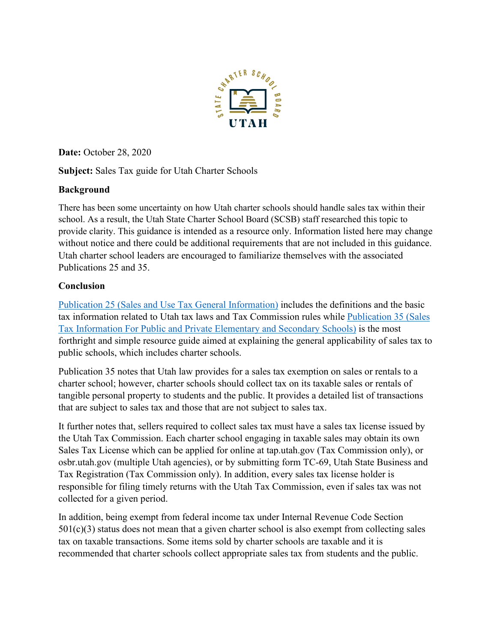

**Date:** October 28, 2020

**Subject:** Sales Tax guide for Utah Charter Schools

## **Background**

There has been some uncertainty on how Utah charter schools should handle sales tax within their school. As a result, the Utah State Charter School Board (SCSB) staff researched this topic to provide clarity. This guidance is intended as a resource only. Information listed here may change without notice and there could be additional requirements that are not included in this guidance. Utah charter school leaders are encouraged to familiarize themselves with the associated Publications 25 and 35.

## **Conclusion**

[Publication 25 \(Sales and Use Tax General Information\)](https://tax.utah.gov/forms/pubs/pub-25.pdf) includes the definitions and the basic tax information related to Utah tax laws and Tax Commission rules while [Publication 35](https://tax.utah.gov/forms/pubs/pub-35.pdf) (Sales Tax [Information For Public and Private Elementary and Secondary Schools\)](https://tax.utah.gov/forms/pubs/pub-35.pdf) is the most forthright and simple resource guide aimed at explaining the general applicability of sales tax to public schools, which includes charter schools.

Publication 35 notes that Utah law provides for a sales tax exemption on sales or rentals to a charter school; however, charter schools should collect tax on its taxable sales or rentals of tangible personal property to students and the public. It provides a detailed list of transactions that are subject to sales tax and those that are not subject to sales tax.

It further notes that, sellers required to collect sales tax must have a sales tax license issued by the Utah Tax Commission. Each charter school engaging in taxable sales may obtain its own Sales Tax License which can be applied for online at tap.utah.gov (Tax Commission only), or osbr.utah.gov (multiple Utah agencies), or by submitting form TC-69, Utah State Business and Tax Registration (Tax Commission only). In addition, every sales tax license holder is responsible for filing timely returns with the Utah Tax Commission, even if sales tax was not collected for a given period.

In addition, being exempt from federal income tax under Internal Revenue Code Section  $501(c)(3)$  status does not mean that a given charter school is also exempt from collecting sales tax on taxable transactions. Some items sold by charter schools are taxable and it is recommended that charter schools collect appropriate sales tax from students and the public.